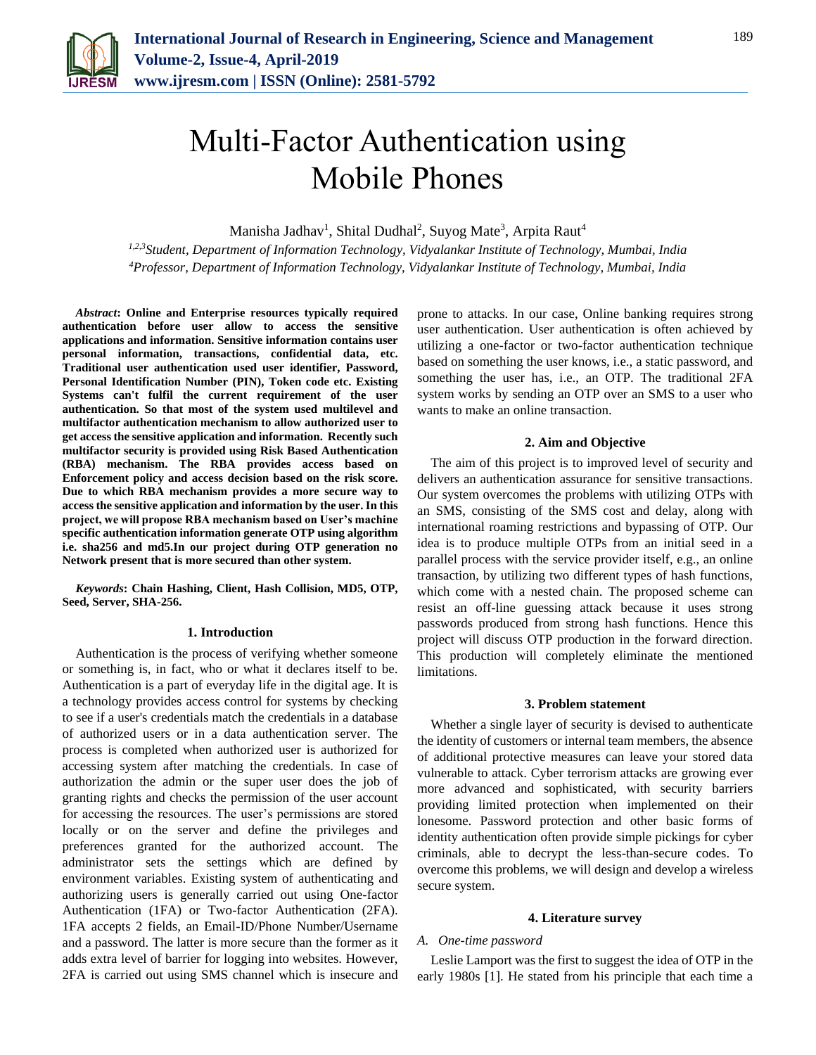

# Multi-Factor Authentication using Mobile Phones

Manisha Jadhav<sup>1</sup>, Shital Dudhal<sup>2</sup>, Suyog Mate<sup>3</sup>, Arpita Raut<sup>4</sup>

*1,2,3Student, Department of Information Technology, Vidyalankar Institute of Technology, Mumbai, India 4Professor, Department of Information Technology, Vidyalankar Institute of Technology, Mumbai, India*

*Abstract***: Online and Enterprise resources typically required authentication before user allow to access the sensitive applications and information. Sensitive information contains user personal information, transactions, confidential data, etc. Traditional user authentication used user identifier, Password, Personal Identification Number (PIN), Token code etc. Existing Systems can't fulfil the current requirement of the user authentication. So that most of the system used multilevel and multifactor authentication mechanism to allow authorized user to get access the sensitive application and information. Recently such multifactor security is provided using Risk Based Authentication (RBA) mechanism. The RBA provides access based on Enforcement policy and access decision based on the risk score. Due to which RBA mechanism provides a more secure way to access the sensitive application and information by the user. In this project, we will propose RBA mechanism based on User's machine specific authentication information generate OTP using algorithm i.e. sha256 and md5.In our project during OTP generation no Network present that is more secured than other system.**

*Keywords***: Chain Hashing, Client, Hash Collision, MD5, OTP, Seed, Server, SHA-256.**

#### **1. Introduction**

Authentication is the process of verifying whether someone or something is, in fact, who or what it declares itself to be. Authentication is a part of everyday life in the digital age. It is a technology provides access control for systems by checking to see if a user's credentials match the credentials in a database of authorized users or in a data authentication server. The process is completed when authorized user is authorized for accessing system after matching the credentials. In case of authorization the admin or the super user does the job of granting rights and checks the permission of the user account for accessing the resources. The user's permissions are stored locally or on the server and define the privileges and preferences granted for the authorized account. The administrator sets the settings which are defined by environment variables. Existing system of authenticating and authorizing users is generally carried out using One-factor Authentication (1FA) or Two-factor Authentication (2FA). 1FA accepts 2 fields, an Email-ID/Phone Number/Username and a password. The latter is more secure than the former as it adds extra level of barrier for logging into websites. However, 2FA is carried out using SMS channel which is insecure and prone to attacks. In our case, Online banking requires strong user authentication. User authentication is often achieved by utilizing a one-factor or two-factor authentication technique based on something the user knows, i.e., a static password, and something the user has, i.e., an OTP. The traditional 2FA system works by sending an OTP over an SMS to a user who wants to make an online transaction.

#### **2. Aim and Objective**

The aim of this project is to improved level of security and delivers an authentication assurance for sensitive transactions. Our system overcomes the problems with utilizing OTPs with an SMS, consisting of the SMS cost and delay, along with international roaming restrictions and bypassing of OTP. Our idea is to produce multiple OTPs from an initial seed in a parallel process with the service provider itself, e.g., an online transaction, by utilizing two different types of hash functions, which come with a nested chain. The proposed scheme can resist an off-line guessing attack because it uses strong passwords produced from strong hash functions. Hence this project will discuss OTP production in the forward direction. This production will completely eliminate the mentioned limitations.

#### **3. Problem statement**

Whether a single layer of security is devised to authenticate the identity of customers or internal team members, the absence of additional protective measures can leave your stored data vulnerable to attack. Cyber terrorism attacks are growing ever more advanced and sophisticated, with security barriers providing limited protection when implemented on their lonesome. Password protection and other basic forms of identity authentication often provide simple pickings for cyber criminals, able to decrypt the less-than-secure codes. To overcome this problems, we will design and develop a wireless secure system.

#### **4. Literature survey**

#### *A. One-time password*

Leslie Lamport was the first to suggest the idea of OTP in the early 1980s [1]. He stated from his principle that each time a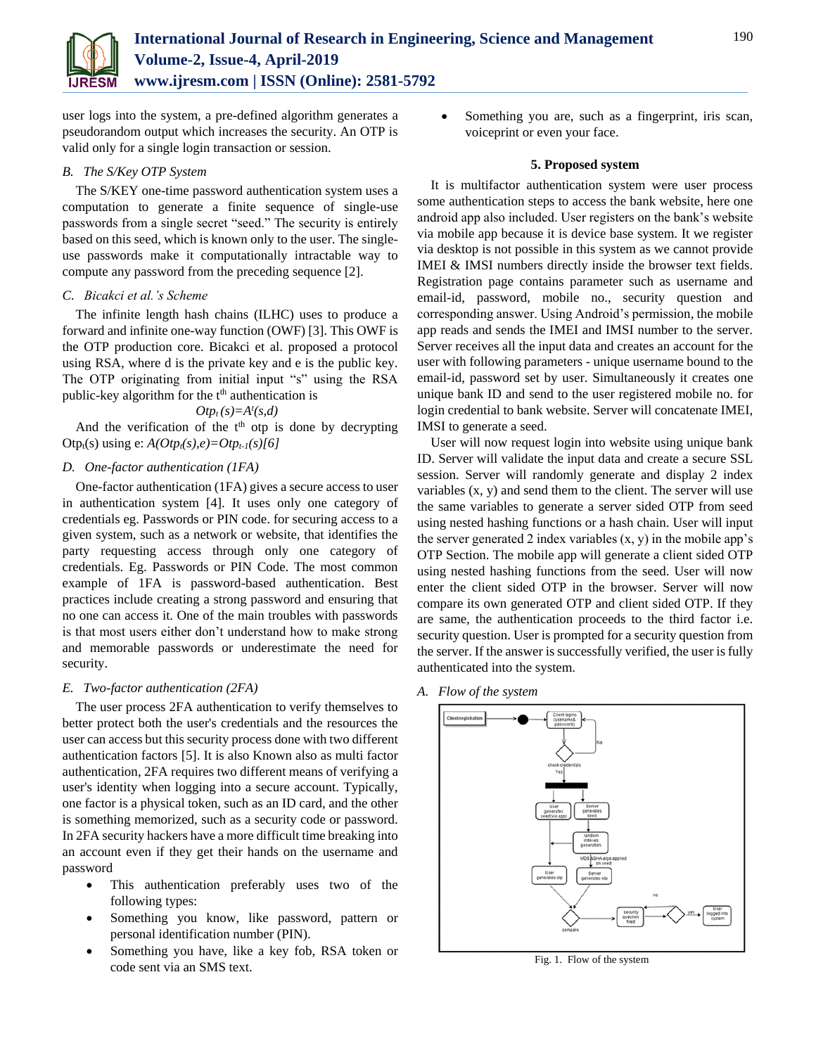

user logs into the system, a pre-defined algorithm generates a pseudorandom output which increases the security. An OTP is valid only for a single login transaction or session.

# *B. The S/Key OTP System*

The S/KEY one-time password authentication system uses a computation to generate a finite sequence of single-use passwords from a single secret "seed." The security is entirely based on this seed, which is known only to the user. The singleuse passwords make it computationally intractable way to compute any password from the preceding sequence [2].

## *C. Bicakci et al.'s Scheme*

The infinite length hash chains (ILHC) uses to produce a forward and infinite one-way function (OWF) [3]. This OWF is the OTP production core. Bicakci et al. proposed a protocol using RSA, where d is the private key and e is the public key. The OTP originating from initial input "s" using the RSA public-key algorithm for the  $t<sup>th</sup>$  authentication is

$$
Otp_t(s) = A^t(s,d)
$$

And the verification of the  $t<sup>th</sup>$  otp is done by decrypting Otp<sub>t</sub>(s) using e:  $A(Otp_t(s), e) = Otp_{t-1}(s)[6]$ 

## *D. One-factor authentication (1FA)*

One-factor authentication (1FA) gives a secure access to user in authentication system [4]. It uses only one category of credentials eg. Passwords or PIN code. for securing access to a given system, such as a network or website, that identifies the party requesting access through only one category of credentials. Eg. Passwords or PIN Code. The most common example of 1FA is password-based authentication. Best practices include creating a strong password and ensuring that no one can access it. One of the main troubles with passwords is that most users either don't understand how to make strong and memorable passwords or underestimate the need for security.

## *E. Two-factor authentication (2FA)*

The user process 2FA authentication to verify themselves to better protect both the user's credentials and the resources the user can access but this security process done with two different authentication factors [5]. It is also Known also as multi factor authentication, 2FA requires two different means of verifying a user's identity when logging into a secure account. Typically, one factor is a physical token, such as an ID card, and the other is something memorized, such as a security code or password. In 2FA security hackers have a more difficult time breaking into an account even if they get their hands on the username and password

- This authentication preferably uses two of the following types:
- Something you know, like password, pattern or personal identification number (PIN).
- Something you have, like a key fob, RSA token or code sent via an SMS text.

 Something you are, such as a fingerprint, iris scan, voiceprint or even your face.

#### **5. Proposed system**

It is multifactor authentication system were user process some authentication steps to access the bank website, here one android app also included. User registers on the bank's website via mobile app because it is device base system. It we register via desktop is not possible in this system as we cannot provide IMEI & IMSI numbers directly inside the browser text fields. Registration page contains parameter such as username and email-id, password, mobile no., security question and corresponding answer. Using Android's permission, the mobile app reads and sends the IMEI and IMSI number to the server. Server receives all the input data and creates an account for the user with following parameters - unique username bound to the email-id, password set by user. Simultaneously it creates one unique bank ID and send to the user registered mobile no. for login credential to bank website. Server will concatenate IMEI, IMSI to generate a seed.

User will now request login into website using unique bank ID. Server will validate the input data and create a secure SSL session. Server will randomly generate and display 2 index variables (x, y) and send them to the client. The server will use the same variables to generate a server sided OTP from seed using nested hashing functions or a hash chain. User will input the server generated 2 index variables  $(x, y)$  in the mobile app's OTP Section. The mobile app will generate a client sided OTP using nested hashing functions from the seed. User will now enter the client sided OTP in the browser. Server will now compare its own generated OTP and client sided OTP. If they are same, the authentication proceeds to the third factor i.e. security question. User is prompted for a security question from the server. If the answer is successfully verified, the user is fully authenticated into the system.

*A. Flow of the system*



Fig. 1. Flow of the system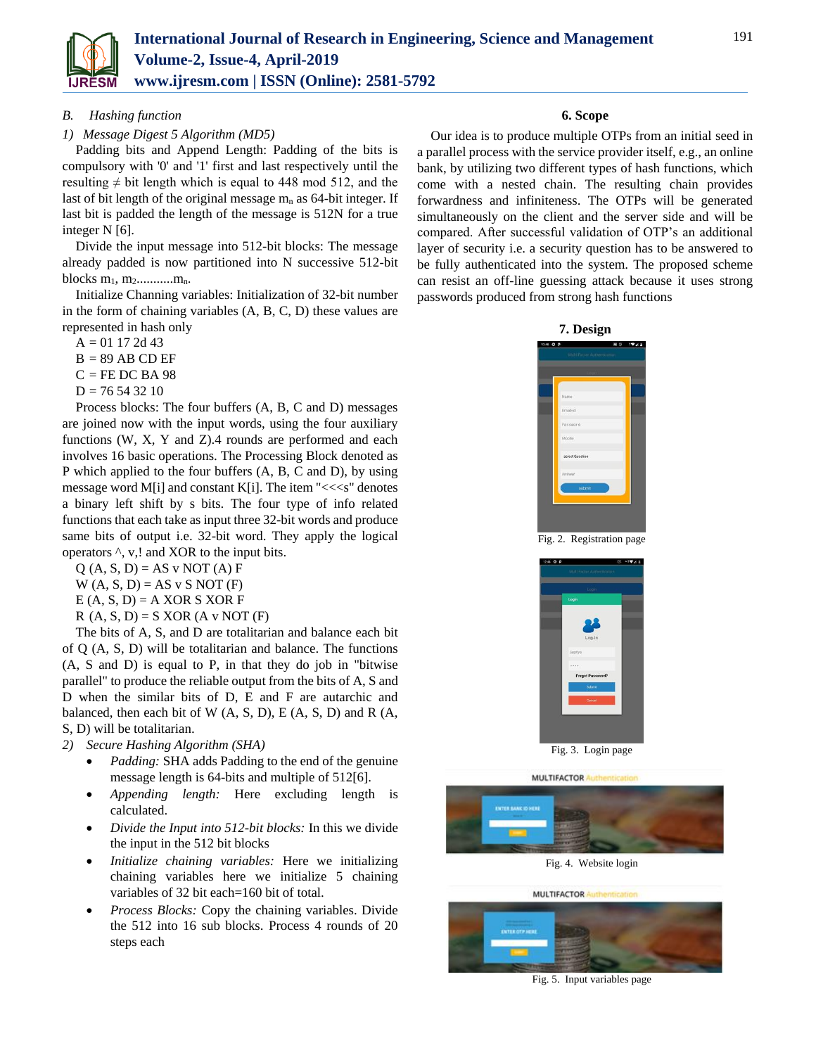

## *B. Hashing function*

## *1) Message Digest 5 Algorithm (MD5)*

Padding bits and Append Length: Padding of the bits is compulsory with '0' and '1' first and last respectively until the resulting  $\neq$  bit length which is equal to 448 mod 512, and the last of bit length of the original message  $m_n$  as 64-bit integer. If last bit is padded the length of the message is 512N for a true integer N [6].

Divide the input message into 512-bit blocks: The message already padded is now partitioned into N successive 512-bit blocks  $m_1, m_2$ ............ $m_n$ .

Initialize Channing variables: Initialization of 32-bit number in the form of chaining variables (A, B, C, D) these values are represented in hash only

 $A = 01172d43$ 

- $B = 89$  AB CD EF
- $C = FE$  DC BA 98

 $D = 76543210$ 

Process blocks: The four buffers (A, B, C and D) messages are joined now with the input words, using the four auxiliary functions (W, X, Y and Z).4 rounds are performed and each involves 16 basic operations. The Processing Block denoted as P which applied to the four buffers (A, B, C and D), by using message word M[i] and constant K[i]. The item " $<" denotes$ a binary left shift by s bits. The four type of info related functions that each take as input three 32-bit words and produce same bits of output i.e. 32-bit word. They apply the logical operators ^, v,! and XOR to the input bits.

 $Q(A, S, D) = AS \text{ v NOT}(A) F$  $W(A, S, D) = AS \vee S NOT (F)$ 

 $E(A, S, D) = A XOR S XOR F$ 

 $R(A, S, D) = S XOR (A v NOT (F))$ 

The bits of A, S, and D are totalitarian and balance each bit of Q (A, S, D) will be totalitarian and balance. The functions (A, S and D) is equal to P, in that they do job in "bitwise parallel" to produce the reliable output from the bits of A, S and D when the similar bits of D, E and F are autarchic and balanced, then each bit of W  $(A, S, D)$ , E  $(A, S, D)$  and R  $(A, A)$ S, D) will be totalitarian.

# *2) Secure Hashing Algorithm (SHA)*

- *Padding:* SHA adds Padding to the end of the genuine message length is 64-bits and multiple of 512[6].
- *Appending length:* Here excluding length is calculated.
- *Divide the Input into 512-bit blocks:* In this we divide the input in the 512 bit blocks
- *Initialize chaining variables:* Here we initializing chaining variables here we initialize 5 chaining variables of 32 bit each=160 bit of total.
- *Process Blocks:* Copy the chaining variables. Divide the 512 into 16 sub blocks. Process 4 rounds of 20 steps each

## **6. Scope**

Our idea is to produce multiple OTPs from an initial seed in a parallel process with the service provider itself, e.g., an online bank, by utilizing two different types of hash functions, which come with a nested chain. The resulting chain provides forwardness and infiniteness. The OTPs will be generated simultaneously on the client and the server side and will be compared. After successful validation of OTP's an additional layer of security i.e. a security question has to be answered to be fully authenticated into the system. The proposed scheme can resist an off-line guessing attack because it uses strong passwords produced from strong hash functions





Fig. 2. Registration page



Fig. 3. Login page

**MULTIFACTOR** 



Fig. 4. Website login



Fig. 5. Input variables page